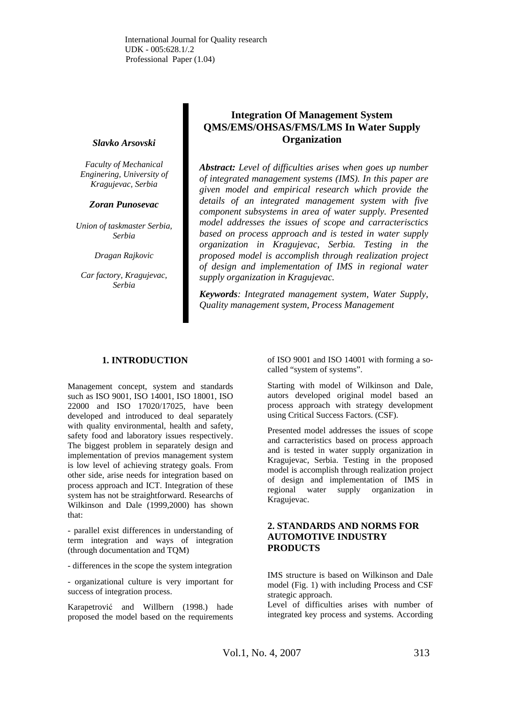International Journal for Quality research UDK - 005:628.1/.2 Professional Paper (1.04)

#### *Slavko Arsovski*

*Faculty of Mechanical Enginering, University of Kragujevac, Serbia* 

#### *Zoran Punosevac*

*Union of taskmaster Serbia, Serbia* 

*Dragan Rajkovic* 

*Car factory, Kragujevac, Serbia* 

# **Integration Of Management System QMS/EMS/OHSAS/FMS/LMS In Water Supply Organization**

*Abstract: Level of difficulties arises when goes up number of integrated management systems (IMS). In this paper are given model and empirical research which provide the details of an integrated management system with five component subsystems in area of water supply. Presented model addresses the issues of scope and carracterisctics based on process approach and is tested in water supply organization in Kragujevac, Serbia. Testing in the proposed model is accomplish through realization project of design and implementation of IMS in regional water supply organization in Kragujevac.* 

*Keywords: Integrated management system, Water Supply, Quality management system, Process Management*

#### **1. INTRODUCTION**

Management concept, system and standards such as ISO 9001, ISO 14001, ISO 18001, ISO 22000 and ISO 17020/17025, have been developed and introduced to deal separately with quality environmental, health and safety, safety food and laboratory issues respectively. The biggest problem in separately design and implementation of previos management system is low level of achieving strategy goals. From other side, arise needs for integration based on process approach and ICT. Integration of these system has not be straightforward. Researchs of Wilkinson and Dale (1999,2000) has shown that:

- parallel exist differences in understanding of term integration and ways of integration (through documentation and TQM)

- differences in the scope the system integration

- organizational culture is very important for success of integration process.

Karapetrović and Willbern (1998.) hade proposed the model based on the requirements of ISO 9001 and ISO 14001 with forming a socalled "system of systems".

Starting with model of Wilkinson and Dale, autors developed original model based an process approach with strategy development using Critical Success Factors. (CSF).

Presented model addresses the issues of scope and carracteristics based on process approach and is tested in water supply organization in Kragujevac, Serbia. Testing in the proposed model is accomplish through realization project of design and implementation of IMS in regional water supply organization in Kragujevac.

### **2. STANDARDS AND NORMS FOR AUTOMOTIVE INDUSTRY PRODUCTS**

IMS structure is based on Wilkinson and Dale model (Fig. 1) with including Process and CSF strategic approach.

Level of difficulties arises with number of integrated key process and systems. According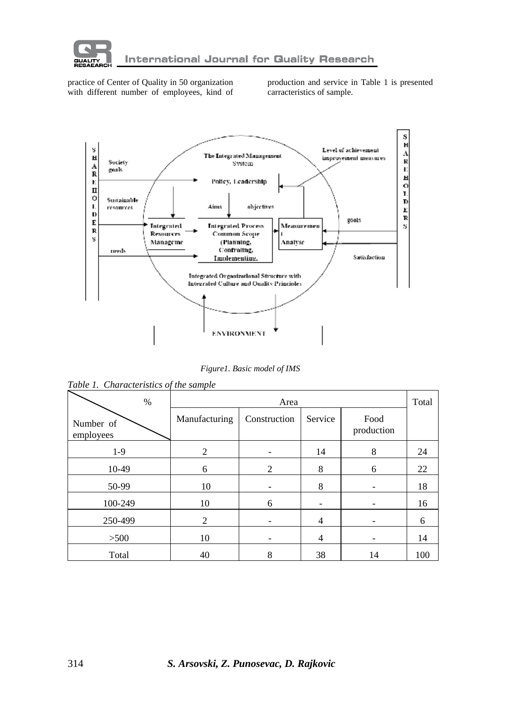

practice of Center of Quality in 50 organization with different number of employees, kind of production and service in Table 1 is presented carracteristics of sample.



*Figure1. Basic model of IMS* 

| $\%$                   | Area          |                |                | Total              |     |
|------------------------|---------------|----------------|----------------|--------------------|-----|
| Number of<br>employees | Manufacturing | Construction   | Service        | Food<br>production |     |
| $1-9$                  | 2             |                | 14             | 8                  | 24  |
| 10-49                  | 6             | $\mathfrak{D}$ | 8              | 6                  | 22  |
| 50-99                  | 10            |                | 8              |                    | 18  |
| 100-249                | 10            | 6              |                |                    | 16  |
| 250-499                | 2             |                | 4              |                    | 6   |
| >500                   | 10            |                | $\overline{4}$ |                    | 14  |
| Total                  | 40            | 8              | 38             | 14                 | 100 |

*Table 1. Characteristics of the sample*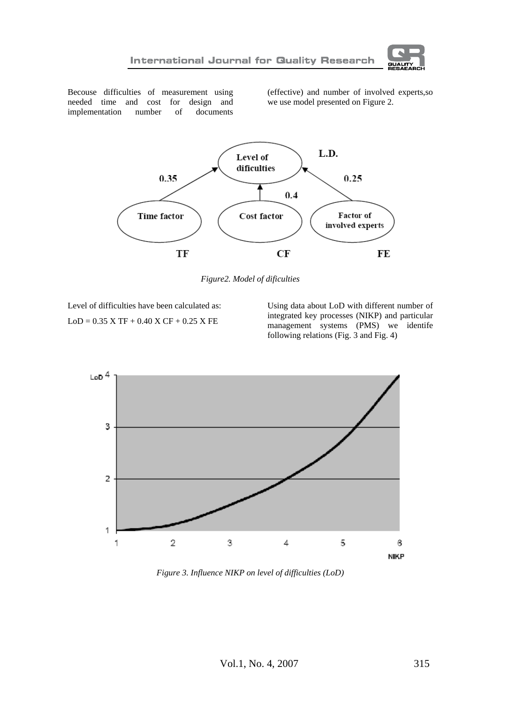

Becouse difficulties of measurement using needed time and cost for design and<br>implementation number of documents implementation number of

(effective) and number of involved experts,so we use model presented on Figure 2.



*Figure2. Model of dificulties* 

Level of difficulties have been calculated as:  $LoD = 0.35$  X TF + 0.40 X CF + 0.25 X FE

Using data about LoD with different number of integrated key processes (NIKP) and particular management systems (PMS) we identife following relations (Fig. 3 and Fig. 4)



*Figure 3. Influence NIKP on level of difficulties (LoD)*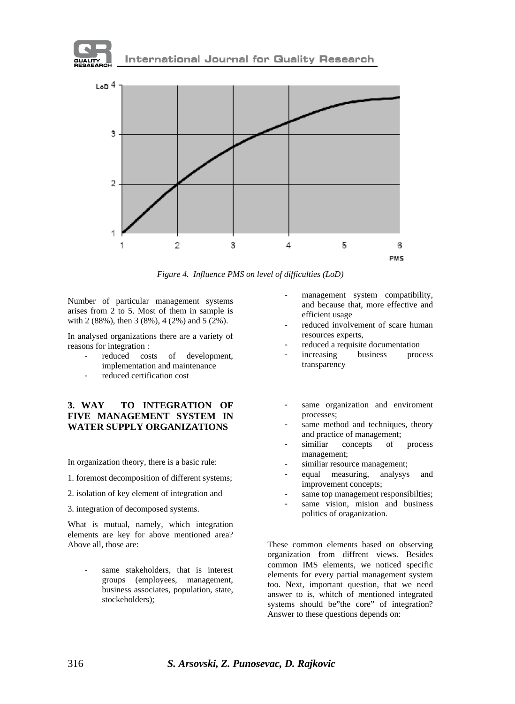

# **International Journal for Quality Research**



*Figure 4. Influence PMS on level of difficulties (LoD)* 

Number of particular management systems arises from 2 to 5. Most of them in sample is with 2 (88%), then 3 (8%), 4 (2%) and 5 (2%).

In analysed organizations there are a variety of reasons for integration :

- reduced costs of development, implementation and maintenance
- reduced certification cost

# **3. WAY TO INTEGRATION OF FIVE MANAGEMENT SYSTEM IN WATER SUPPLY ORGANIZATIONS**

In organization theory, there is a basic rule:

- 1. foremost decomposition of different systems;
- 2. isolation of key element of integration and
- 3. integration of decomposed systems.

What is mutual, namely, which integration elements are key for above mentioned area? Above all, those are:

> same stakeholders, that is interest groups (employees, management, business associates, population, state, stockeholders);

- management system compatibility, and because that, more effective and efficient usage
- reduced involvement of scare human resources experts,
- reduced a requisite documentation
- increasing business process transparency
- same organization and enviroment processes;
- same method and techniques, theory and practice of management;
- similiar concepts of process management;
- similiar resource management;
- equal measuring, analysys and improvement concepts;
- same top management responsibilties;
- same vision, mision and business politics of oraganization.

These common elements based on observing organization from diffrent views. Besides common IMS elements, we noticed specific elements for every partial management system too. Next, important question, that we need answer to is, whitch of mentioned integrated systems should be"the core" of integration? Answer to these questions depends on: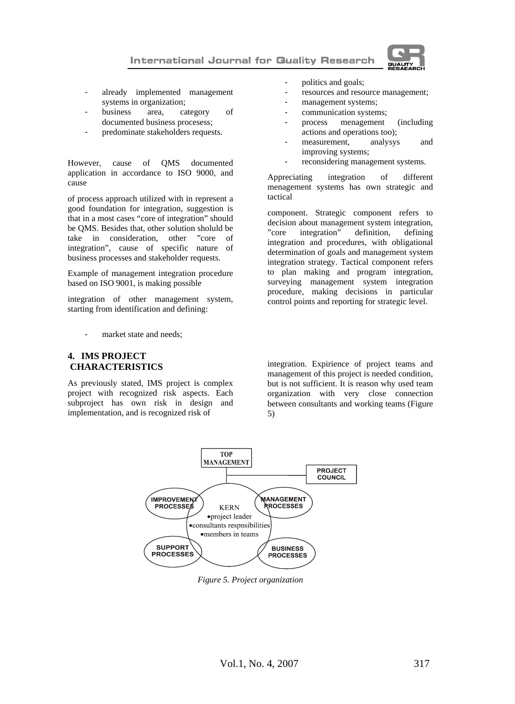

- already implemented management systems in organization;
- business area, category of documented business procesess;
- predominate stakeholders requests.

However, cause of QMS documented application in accordance to ISO 9000, and cause

of process approach utilized with in represent a good foundation for integration, suggestion is that in a most cases "core of integration" should be QMS. Besides that, other solution sholuld be take in consideration, other "core of integration", cause of specific nature of business processes and stakeholder requests.

Example of management integration procedure based on ISO 9001, is making possible

integration of other management system, starting from identification and defining:

- market state and needs:

# **4. IMS PROJECT CHARACTERISTICS**

As previously stated, IMS project is complex project with recognized risk aspects. Each subproject has own risk in design and implementation, and is recognized risk of

politics and goals;

- resources and resource management;
- management systems;
- communication systems;
- process menagement (including actions and operations too);
- measurement, analysys and improving systems;
- reconsidering management systems.

Appreciating integration of different menagement systems has own strategic and tactical

component. Strategic component refers to decision about management system integration, "core integration" definition, defining integration and procedures, with obligational determination of goals and management system integration strategy. Tactical component refers to plan making and program integration, surveying management system integration procedure, making decisions in particular control points and reporting for strategic level.

integration. Expirience of project teams and management of this project is needed condition, but is not sufficient. It is reason why used team organization with very close connection between consultants and working teams (Figure 5)



*Figure 5. Project organization*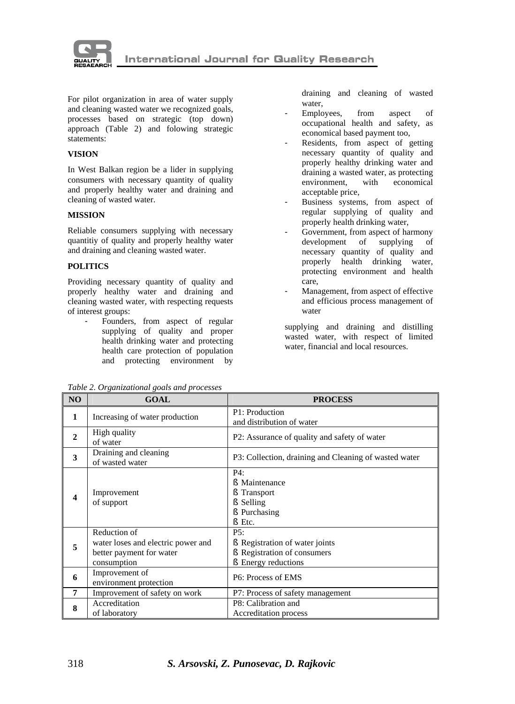

For pilot organization in area of water supply and cleaning wasted water we recognized goals, processes based on strategic (top down) approach (Table 2) and folowing strategic statements:

### **VISION**

In West Balkan region be a lider in supplying consumers with necessary quantity of quality and properly healthy water and draining and cleaning of wasted water.

#### **MISSION**

Reliable consumers supplying with necessary quantitiy of quality and properly healthy water and draining and cleaning wasted water.

### **POLITICS**

Providing necessary quantity of quality and properly healthy water and draining and cleaning wasted water, with respecting requests of interest groups:

> Founders, from aspect of regular supplying of quality and proper health drinking water and protecting health care protection of population and protecting environment by

draining and cleaning of wasted water,

- Employees, from aspect of occupational health and safety, as economical based payment too,
- Residents, from aspect of getting necessary quantity of quality and properly healthy drinking water and draining a wasted water, as protecting environment, with economical acceptable price,
- Business systems, from aspect of regular supplying of quality and properly health drinking water,
- Government, from aspect of harmony development of supplying of necessary quantity of quality and properly health drinking water, protecting environment and health care,
- Management, from aspect of effective and efficious process management of water

supplying and draining and distilling wasted water, with respect of limited water, financial and local resources.

| NO.          | <b>GOAL</b>                                                                                   | <b>PROCESS</b>                                                                              |
|--------------|-----------------------------------------------------------------------------------------------|---------------------------------------------------------------------------------------------|
| 1            | Increasing of water production                                                                | P1: Production<br>and distribution of water                                                 |
| $\mathbf{2}$ | High quality<br>of water                                                                      | P2: Assurance of quality and safety of water                                                |
| 3            | Draining and cleaning<br>of wasted water                                                      | P3: Collection, draining and Cleaning of wasted water                                       |
| 4            | Improvement<br>of support                                                                     | P4:<br>§ Maintenance<br>ξı<br>Transport<br>§ Selling<br>§ Purchasing<br>$\S$ Etc.           |
| 5            | Reduction of<br>water loses and electric power and<br>better payment for water<br>consumption | P5:<br>§ Registration of water joints<br>§ Registration of consumers<br>§ Energy reductions |
| 6            | Improvement of<br>environment protection                                                      | P <sub>6</sub> : Process of EMS                                                             |
| 7            | Improvement of safety on work                                                                 | P7: Process of safety management                                                            |
| 8            | Accreditation<br>of laboratory                                                                | P8: Calibration and<br>Accreditation process                                                |

*Table 2. Organizational goals and processes*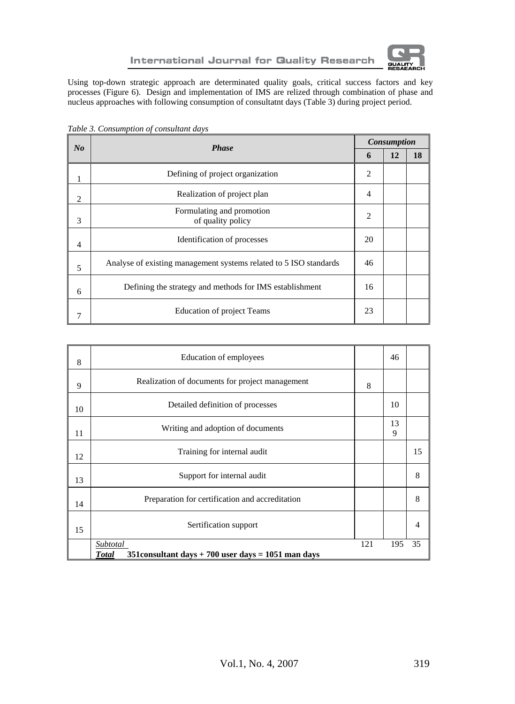

Using top-down strategic approach are determinated quality goals, critical success factors and key processes (Figure 6). Design and implementation of IMS are relized through combination of phase and nucleus approaches with following consumption of consultatnt days (Table 3) during project period.

| N <sub>o</sub> | <b>Phase</b>                                                      | <b>Consumption</b> |    |    |
|----------------|-------------------------------------------------------------------|--------------------|----|----|
|                |                                                                   | 6                  | 12 | 18 |
|                | Defining of project organization                                  | 2                  |    |    |
| 2              | Realization of project plan                                       | 4                  |    |    |
| 3              | Formulating and promotion<br>of quality policy                    | $\overline{c}$     |    |    |
| 4              | Identification of processes                                       | 20                 |    |    |
| 5              | Analyse of existing management systems related to 5 ISO standards | 46                 |    |    |
| 6              | Defining the strategy and methods for IMS establishment           | 16                 |    |    |
|                | <b>Education of project Teams</b>                                 | 23                 |    |    |

*Table 3. Consumption of consultant days* 

| 8  | Education of employees                                                            |     | 46      |    |
|----|-----------------------------------------------------------------------------------|-----|---------|----|
| 9  | Realization of documents for project management                                   | 8   |         |    |
| 10 | Detailed definition of processes                                                  |     | 10      |    |
| 11 | Writing and adoption of documents                                                 |     | 13<br>9 |    |
| 12 | Training for internal audit                                                       |     |         | 15 |
| 13 | Support for internal audit                                                        |     |         | 8  |
| 14 | Preparation for certification and accreditation                                   |     |         | 8  |
| 15 | Sertification support                                                             |     |         | 4  |
|    | Subtotal<br>351 consultant days $+700$ user days $= 1051$ mandays<br><b>Total</b> | 121 | 195     | 35 |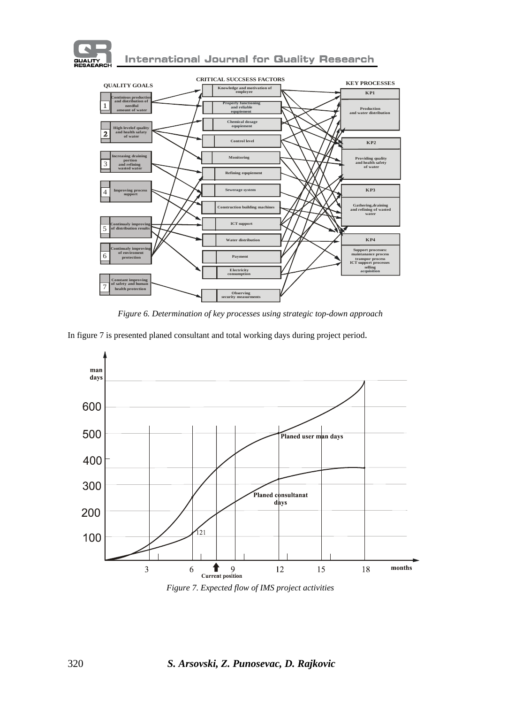

*Figure 6. Determination of key processes using strategic top-down approach* 

In figure 7 is presented planed consultant and total working days during project period.



*Figure 7. Expected flow of IMS project activities*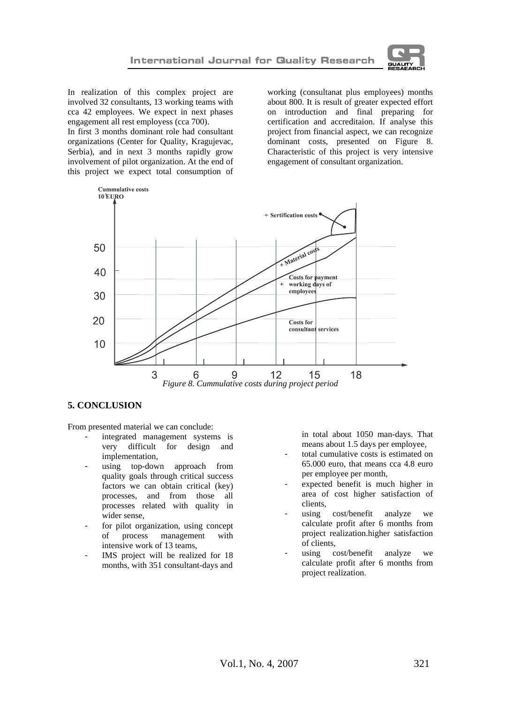

In realization of this complex project are involved 32 consultants, 13 working teams with cca 42 employees. We expect in next phases engagement all rest employess (cca 700).

In first 3 months dominant role had consultant organizations (Center for Quality, Kragujevac, Serbia), and in next 3 months rapidly grow involvement of pilot organization. At the end of this project we expect total consumption of working (consultanat plus employees) months about 800. It is result of greater expected effort on introduction and final preparing for certification and accreditaion. If analyse this project from financial aspect, we can recognize dominant costs, presented on Figure 8. Characteristic of this project is very intensive engagement of consultant organization.



## **5. CONCLUSION**

From presented material we can conclude:

- integrated management systems is very difficult for design and implementation,
- using top-down approach from quality goals through critical success factors we can obtain critical (key) processes, and from those all processes related with quality in wider sense,
- for pilot organization, using concept of process management with intensive work of 13 teams,
- IMS project will be realized for 18 months, with 351 consultant-days and

in total about 1050 man-days. That means about 1.5 days per employee,

- total cumulative costs is estimated on 65.000 euro, that means cca 4.8 euro per employee per month,
- expected benefit is much higher in area of cost higher satisfaction of clients,
- using cost/benefit analyze we calculate profit after 6 months from project realization.higher satisfaction of clients,
- using cost/benefit analyze we calculate profit after 6 months from project realization.